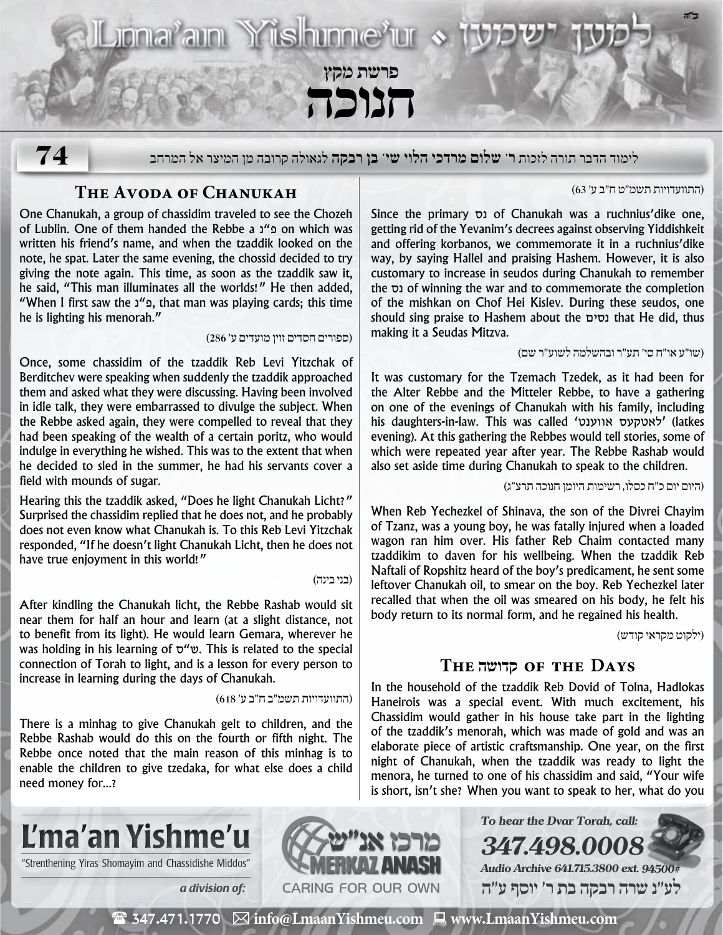**ב"ה** Liona<sup>r</sup>ain Yishinne'ur **פרשת מקץ**

**חנוכה**

**74**

לימוד הדבר תורה לזכות **ר' שלום מרדכי הלוי שי' בן רבקה** לגאולה קרובה מן המיצר אל המרחב

## **The Avoda of Chanukah**

One Chanukah, a group of chassidim traveled to see the Chozeh of Lublin. One of them handed the Rebbe a נ"פ on which was written his friend's name, and when the tzaddik looked on the note, he spat. Later the same evening, the chossid decided to try giving the note again. This time, as soon as the tzaddik saw it, he said, "This man illuminates all the worlds!" He then added, "When I first saw the נ $\mathbf{r}$ . that man was playing cards; this time he is lighting his menorah."

)ספורים חסדים זוין מועדים ע׳ 286(

Once, some chassidim of the tzaddik Reb Levi Yitzchak of Berditchev were speaking when suddenly the tzaddik approached them and asked what they were discussing. Having been involved in idle talk, they were embarrassed to divulge the subject. When the Rebbe asked again, they were compelled to reveal that they had been speaking of the wealth of a certain poritz, who would indulge in everything he wished. This was to the extent that when he decided to sled in the summer, he had his servants cover a field with mounds of sugar.

Hearing this the tzaddik asked, "Does he light Chanukah Licht?" Surprised the chassidim replied that he does not, and he probably does not even know what Chanukah is. To this Reb Levi Yitzchak responded, "If he doesn't light Chanukah Licht, then he does not have true enjoyment in this world!"

#### )בני בינה(

After kindling the Chanukah licht, the Rebbe Rashab would sit near them for half an hour and learn (at a slight distance, not to benefit from its light). He would learn Gemara, wherever he was holding in his learning of  $\nabla$ " $\nu$ . This is related to the special connection of Torah to light, and is a lesson for every person to increase in learning during the days of Chanukah.

)התוועדויות תשמ״ב ח״ב ע׳ 618(

There is a minhag to give Chanukah gelt to children, and the Rebbe Rashab would do this on the fourth or fifth night. The Rebbe once noted that the main reason of this minhag is to enable the children to give tzedaka, for what else does a child need money for...?

#### )התוועדויות תשמ״ט ח״ב ע׳ 63(

Since the primary נס of Chanukah was a ruchnius'dike one, getting rid of the Yevanim's decrees against observing Yiddishkeit and offering korbanos, we commemorate it in a ruchnius'dike way, by saying Hallel and praising Hashem. However, it is also customary to increase in seudos during Chanukah to remember the נס of winning the war and to commemorate the completion of the mishkan on Chof Hei Kislev. During these seudos, one should sing praise to Hashem about the נסים that He did, thus making it a Seudas Mitzva.

#### )שו״ע או״ח סי׳ תע״ר ובהשלמה לשוע״ר שם(

It was customary for the Tzemach Tzedek, as it had been for the Alter Rebbe and the Mitteler Rebbe, to have a gathering on one of the evenings of Chanukah with his family, including his daughters-in-law. This was called 'לאטקעס אווענט' evening). At this gathering the Rebbes would tell stories, some of which were repeated year after year. The Rebbe Rashab would also set aside time during Chanukah to speak to the children.

#### )היום יום כ״ח כסלו, רשימות היומן חנוכה תרצ״ג(

When Reb Yechezkel of Shinava, the son of the Divrei Chayim of Tzanz, was a young boy, he was fatally injured when a loaded wagon ran him over. His father Reb Chaim contacted many tzaddikim to daven for his wellbeing. When the tzaddik Reb Naftali of Ropshitz heard of the boy's predicament, he sent some leftover Chanukah oil, to smear on the boy. Reb Yechezkel later recalled that when the oil was smeared on his body, he felt his body return to its normal form, and he regained his health.

)ילקוט מקראי קודש(

### **The קדושה of the Days**

In the household of the tzaddik Reb Dovid of Tolna, Hadlokas Haneirois was a special event. With much excitement, his Chassidim would gather in his house take part in the lighting of the tzaddik's menorah, which was made of gold and was an elaborate piece of artistic craftsmanship. One year, on the first night of Chanukah, when the tzaddik was ready to light the menora, he turned to one of his chassidim and said, "Your wife is short, isn't she? When you want to speak to her, what do you

**To hear the Dvar Torah, call:**

**Audio Archive 641.715.3800 ext. 94500# לע"נ שרה רבקה בת ר׳ יוסף ע"ה**

**347.498.0008**



"Strenthening Yiras Shomayim and Chassidishe Middos"



( 347.471.1770 **info@LmaanYishmeu.com www.LmaanYishmeu.com**  $\mathbf{m}$  and  $\mathbf{m}$  and  $\mathbf{m}$